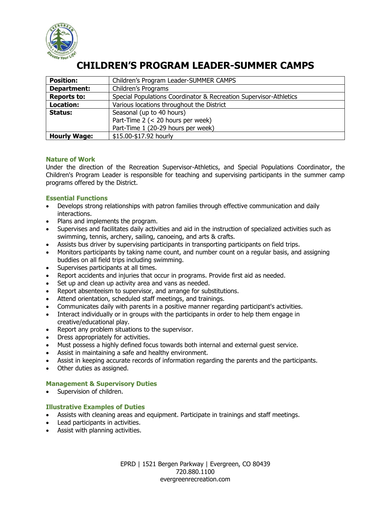

# **CHILDREN'S PROGRAM LEADER-SUMMER CAMPS**

| <b>Position:</b>    | Children's Program Leader-SUMMER CAMPS                            |
|---------------------|-------------------------------------------------------------------|
| Department:         | Children's Programs                                               |
| <b>Reports to:</b>  | Special Populations Coordinator & Recreation Supervisor-Athletics |
| <b>Location:</b>    | Various locations throughout the District                         |
| Status:             | Seasonal (up to 40 hours)                                         |
|                     | Part-Time 2 (< 20 hours per week)                                 |
|                     | Part-Time 1 (20-29 hours per week)                                |
| <b>Hourly Wage:</b> | \$15.00-\$17.92 hourly                                            |

#### **Nature of Work**

Under the direction of the Recreation Supervisor-Athletics, and Special Populations Coordinator, the Children's Program Leader is responsible for teaching and supervising participants in the summer camp programs offered by the District.

## **Essential Functions**

- Develops strong relationships with patron families through effective communication and daily interactions.
- Plans and implements the program.
- Supervises and facilitates daily activities and aid in the instruction of specialized activities such as swimming, tennis, archery, sailing, canoeing, and arts & crafts.
- Assists bus driver by supervising participants in transporting participants on field trips.
- Monitors participants by taking name count, and number count on a regular basis, and assigning buddies on all field trips including swimming.
- Supervises participants at all times.
- Report accidents and injuries that occur in programs. Provide first aid as needed.
- Set up and clean up activity area and vans as needed.
- Report absenteeism to supervisor, and arrange for substitutions.
- Attend orientation, scheduled staff meetings, and trainings.
- Communicates daily with parents in a positive manner regarding participant's activities.
- Interact individually or in groups with the participants in order to help them engage in creative/educational play.
- Report any problem situations to the supervisor.
- Dress appropriately for activities.
- Must possess a highly defined focus towards both internal and external guest service.
- Assist in maintaining a safe and healthy environment.
- Assist in keeping accurate records of information regarding the parents and the participants.
- Other duties as assigned.

## **Management & Supervisory Duties**

• Supervision of children.

## **Illustrative Examples of Duties**

- Assists with cleaning areas and equipment. Participate in trainings and staff meetings.
- Lead participants in activities.
- Assist with planning activities.

EPRD | 1521 Bergen Parkway | Evergreen, CO 80439 720.880.1100 evergreenrecreation.com